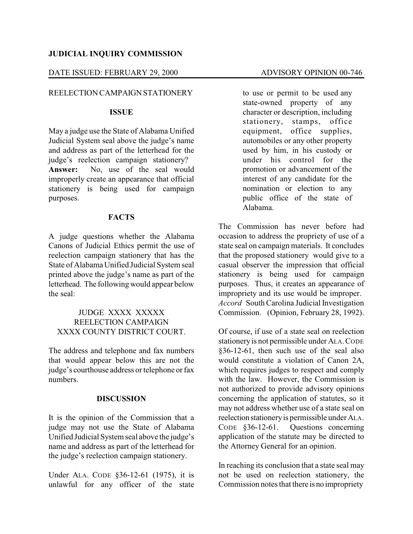## **JUDICIAL INQUIRY COMMISSION**

#### DATE ISSUED: FEBRUARY 29, 2000 ADVISORY OPINION 00-746

## REELECTION CAMPAIGNSTATIONERY

## **ISSUE**

May a judge use the State of Alabama Unified Judicial System seal above the judge's name and address as part of the letterhead for the judge's reelection campaign stationery? **Answer:** No, use of the seal would improperly create an appearance that official stationery is being used for campaign purposes.

## **FACTS**

A judge questions whether the Alabama Canons of Judicial Ethics permit the use of reelection campaign stationery that has the State of AlabamaUnified Judicial System seal printed above the judge's name as part of the letterhead. The followingwould appear below the seal:

# JUDGE XXXX XXXXX REELECTION CAMPAIGN XXXX COUNTY DISTRICT COURT.

The address and telephone and fax numbers that would appear below this are not the judge's courthouse address or telephone or fax numbers.

## **DISCUSSION**

It is the opinion of the Commission that a judge may not use the State of Alabama Unified Judicial System seal above the judge's name and address as part of the letterhead for the judge's reelection campaign stationery.

Under ALA. CODE §36-12-61 (1975), it is unlawful for any officer of the state to use or permit to be used any state-owned property of any character or description, including stationery, stamps, office equipment, office supplies, automobiles or any other property used by him, in his custody or under his control for the promotion or advancement of the interest of any candidate for the nomination or election to any public office of the state of Alabama.

The Commission has never before had occasion to address the propriety of use of a state seal on campaign materials. It concludes that the proposed stationery would give to a casual observer the impression that official stationery is being used for campaign purposes. Thus, it creates an appearance of impropriety and its use would be improper. *Accord* South Carolina Judicial Investigation Commission. (Opinion, February 28, 1992).

Of course, if use of a state seal on reelection stationery is not permissible under ALA. CODE §36-12-61, then such use of the seal also would constitute a violation of Canon 2A, which requires judges to respect and comply with the law. However, the Commission is not authorized to provide advisory opinions concerning the application of statutes, so it may not address whether use of a state seal on reelection stationeryis permissible under ALA. CODE §36-12-61. Questions concerning application of the statute may be directed to the Attorney General for an opinion.

In reaching its conclusion that a state seal may not be used on reelection stationery, the Commission notes that there is no impropriety